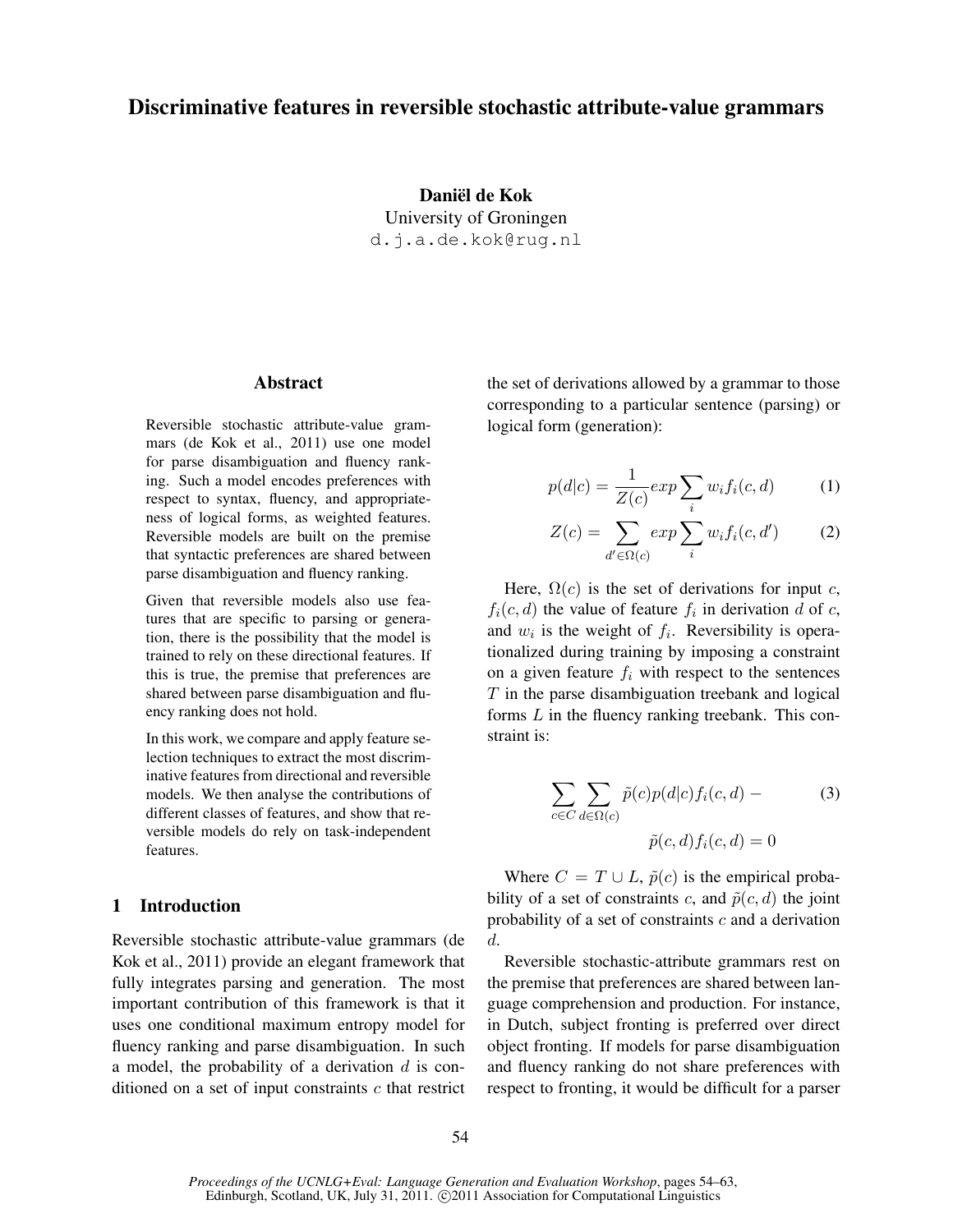# Discriminative features in reversible stochastic attribute-value grammars

Daniël de Kok University of Groningen d.j.a.de.kok@rug.nl

### Abstract

Reversible stochastic attribute-value grammars (de Kok et al., 2011) use one model for parse disambiguation and fluency ranking. Such a model encodes preferences with respect to syntax, fluency, and appropriateness of logical forms, as weighted features. Reversible models are built on the premise that syntactic preferences are shared between parse disambiguation and fluency ranking.

Given that reversible models also use features that are specific to parsing or generation, there is the possibility that the model is trained to rely on these directional features. If this is true, the premise that preferences are shared between parse disambiguation and fluency ranking does not hold.

In this work, we compare and apply feature selection techniques to extract the most discriminative features from directional and reversible models. We then analyse the contributions of different classes of features, and show that reversible models do rely on task-independent features.

## 1 Introduction

Reversible stochastic attribute-value grammars (de Kok et al., 2011) provide an elegant framework that fully integrates parsing and generation. The most important contribution of this framework is that it uses one conditional maximum entropy model for fluency ranking and parse disambiguation. In such a model, the probability of a derivation  $d$  is conditioned on a set of input constraints  $c$  that restrict the set of derivations allowed by a grammar to those corresponding to a particular sentence (parsing) or logical form (generation):

$$
p(d|c) = \frac{1}{Z(c)} \exp \sum_{i} w_i f_i(c, d) \tag{1}
$$

$$
Z(c) = \sum_{d' \in \Omega(c)} exp \sum_{i} w_i f_i(c, d')
$$
 (2)

Here,  $\Omega(c)$  is the set of derivations for input c,  $f_i(c, d)$  the value of feature  $f_i$  in derivation d of c, and  $w_i$  is the weight of  $f_i$ . Reversibility is operationalized during training by imposing a constraint on a given feature  $f_i$  with respect to the sentences  $T$  in the parse disambiguation treebank and logical forms L in the fluency ranking treebank. This constraint is:

$$
\sum_{c \in C} \sum_{d \in \Omega(c)} \tilde{p}(c)p(d|c) f_i(c, d) -
$$
\n
$$
\tilde{p}(c, d) f_i(c, d) = 0
$$
\n(3)

Where  $C = T \cup L$ ,  $\tilde{p}(c)$  is the empirical probability of a set of constraints c, and  $\tilde{p}(c, d)$  the joint probability of a set of constraints  $c$  and a derivation d.

Reversible stochastic-attribute grammars rest on the premise that preferences are shared between language comprehension and production. For instance, in Dutch, subject fronting is preferred over direct object fronting. If models for parse disambiguation and fluency ranking do not share preferences with respect to fronting, it would be difficult for a parser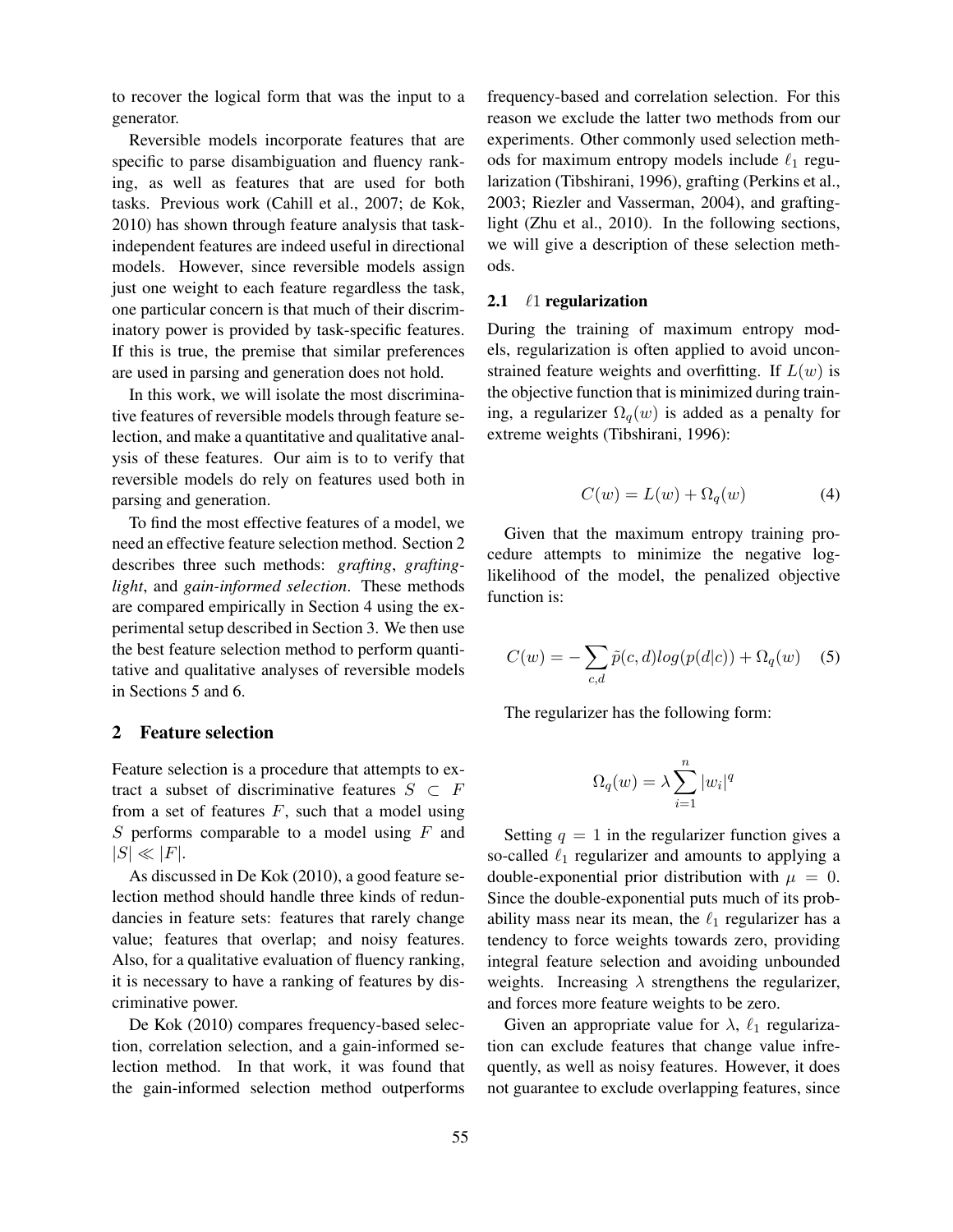to recover the logical form that was the input to a generator.

Reversible models incorporate features that are specific to parse disambiguation and fluency ranking, as well as features that are used for both tasks. Previous work (Cahill et al., 2007; de Kok, 2010) has shown through feature analysis that taskindependent features are indeed useful in directional models. However, since reversible models assign just one weight to each feature regardless the task, one particular concern is that much of their discriminatory power is provided by task-specific features. If this is true, the premise that similar preferences are used in parsing and generation does not hold.

In this work, we will isolate the most discriminative features of reversible models through feature selection, and make a quantitative and qualitative analysis of these features. Our aim is to to verify that reversible models do rely on features used both in parsing and generation.

To find the most effective features of a model, we need an effective feature selection method. Section 2 describes three such methods: *grafting*, *graftinglight*, and *gain-informed selection*. These methods are compared empirically in Section 4 using the experimental setup described in Section 3. We then use the best feature selection method to perform quantitative and qualitative analyses of reversible models in Sections 5 and 6.

#### 2 Feature selection

Feature selection is a procedure that attempts to extract a subset of discriminative features  $S \subset F$ from a set of features  $F$ , such that a model using  $S$  performs comparable to a model using  $F$  and  $|S| \ll |F|$ .

As discussed in De Kok (2010), a good feature selection method should handle three kinds of redundancies in feature sets: features that rarely change value; features that overlap; and noisy features. Also, for a qualitative evaluation of fluency ranking, it is necessary to have a ranking of features by discriminative power.

De Kok (2010) compares frequency-based selection, correlation selection, and a gain-informed selection method. In that work, it was found that the gain-informed selection method outperforms frequency-based and correlation selection. For this reason we exclude the latter two methods from our experiments. Other commonly used selection methods for maximum entropy models include  $\ell_1$  regularization (Tibshirani, 1996), grafting (Perkins et al., 2003; Riezler and Vasserman, 2004), and graftinglight (Zhu et al., 2010). In the following sections, we will give a description of these selection methods.

#### 2.1  $\ell$ 1 regularization

During the training of maximum entropy models, regularization is often applied to avoid unconstrained feature weights and overfitting. If  $L(w)$  is the objective function that is minimized during training, a regularizer  $\Omega_q(w)$  is added as a penalty for extreme weights (Tibshirani, 1996):

$$
C(w) = L(w) + \Omega_q(w) \tag{4}
$$

Given that the maximum entropy training procedure attempts to minimize the negative loglikelihood of the model, the penalized objective function is:

$$
C(w) = -\sum_{c,d} \tilde{p}(c,d)log(p(d|c)) + \Omega_q(w) \quad (5)
$$

The regularizer has the following form:

$$
\Omega_q(w) = \lambda \sum_{i=1}^n |w_i|^q
$$

Setting  $q = 1$  in the regularizer function gives a so-called  $\ell_1$  regularizer and amounts to applying a double-exponential prior distribution with  $\mu = 0$ . Since the double-exponential puts much of its probability mass near its mean, the  $\ell_1$  regularizer has a tendency to force weights towards zero, providing integral feature selection and avoiding unbounded weights. Increasing  $\lambda$  strengthens the regularizer, and forces more feature weights to be zero.

Given an appropriate value for  $\lambda$ ,  $\ell_1$  regularization can exclude features that change value infrequently, as well as noisy features. However, it does not guarantee to exclude overlapping features, since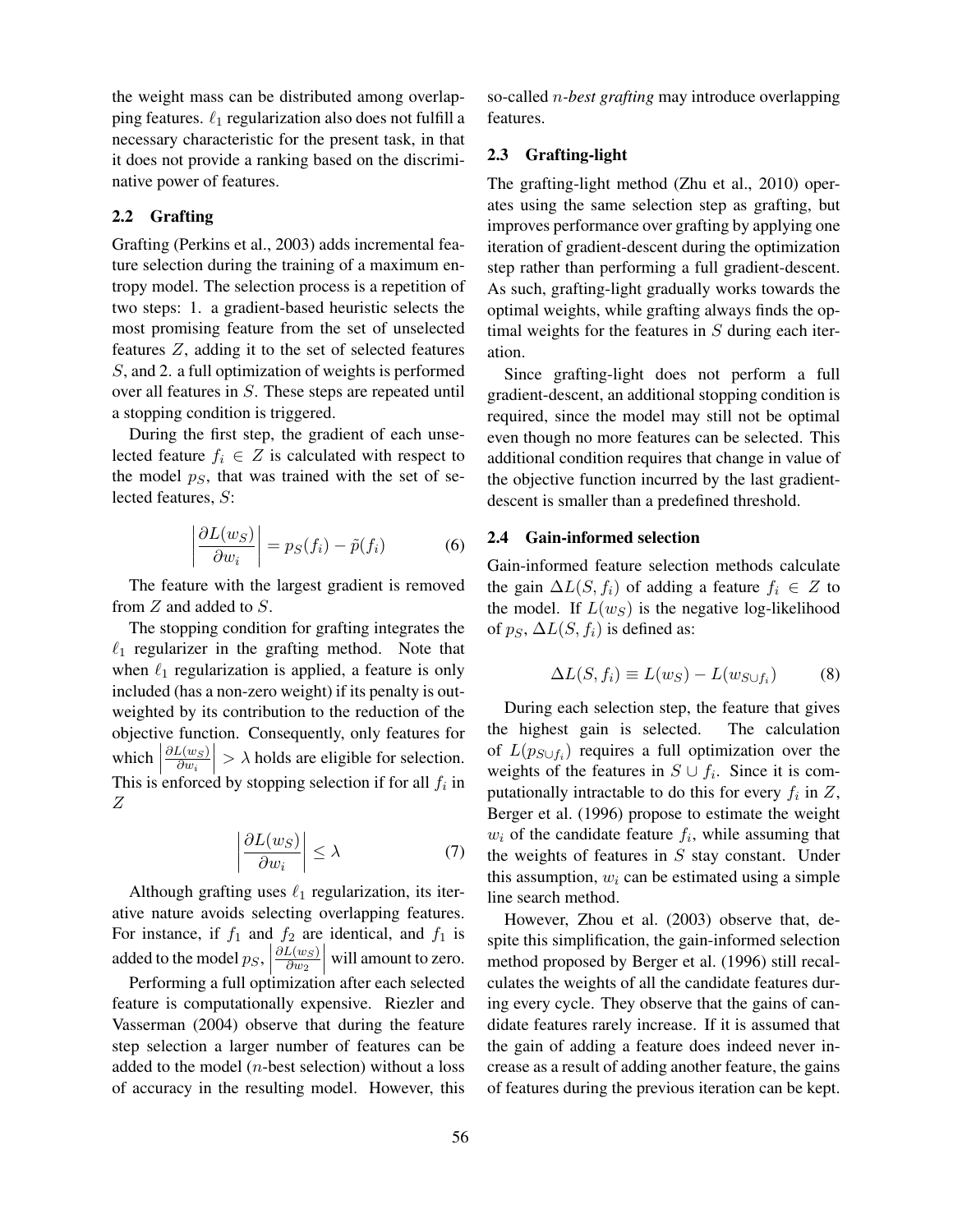the weight mass can be distributed among overlapping features.  $\ell_1$  regularization also does not fulfill a necessary characteristic for the present task, in that it does not provide a ranking based on the discriminative power of features.

### 2.2 Grafting

Grafting (Perkins et al., 2003) adds incremental feature selection during the training of a maximum entropy model. The selection process is a repetition of two steps: 1. a gradient-based heuristic selects the most promising feature from the set of unselected features Z, adding it to the set of selected features S, and 2. a full optimization of weights is performed over all features in S. These steps are repeated until a stopping condition is triggered.

During the first step, the gradient of each unselected feature  $f_i \in Z$  is calculated with respect to the model  $p<sub>S</sub>$ , that was trained with the set of selected features, S:

$$
\left| \frac{\partial L(w_S)}{\partial w_i} \right| = p_S(f_i) - \tilde{p}(f_i)
$$
 (6)

The feature with the largest gradient is removed from Z and added to S.

The stopping condition for grafting integrates the  $\ell_1$  regularizer in the grafting method. Note that when  $\ell_1$  regularization is applied, a feature is only included (has a non-zero weight) if its penalty is outweighted by its contribution to the reduction of the objective function. Consequently, only features for which  $\left| \frac{\partial L(w_S)}{\partial w_i} \right|$ This is enforced by stopping selection if for all  $f_i$  in  $\partial w_i$  $> \lambda$  holds are eligible for selection. Z

$$
\left| \frac{\partial L(w_S)}{\partial w_i} \right| \le \lambda \tag{7}
$$

Although grafting uses  $\ell_1$  regularization, its iterative nature avoids selecting overlapping features. For instance, if  $f_1$  and  $f_2$  are identical, and  $f_1$  is added to the model  $p_S$ ,  $\partial L(w_S)$  $\partial w_2$  will amount to zero.

Performing a full optimization after each selected feature is computationally expensive. Riezler and Vasserman (2004) observe that during the feature step selection a larger number of features can be added to the model  $(n$ -best selection) without a loss of accuracy in the resulting model. However, this

so-called n*-best grafting* may introduce overlapping features.

#### 2.3 Grafting-light

The grafting-light method (Zhu et al., 2010) operates using the same selection step as grafting, but improves performance over grafting by applying one iteration of gradient-descent during the optimization step rather than performing a full gradient-descent. As such, grafting-light gradually works towards the optimal weights, while grafting always finds the optimal weights for the features in  $S$  during each iteration.

Since grafting-light does not perform a full gradient-descent, an additional stopping condition is required, since the model may still not be optimal even though no more features can be selected. This additional condition requires that change in value of the objective function incurred by the last gradientdescent is smaller than a predefined threshold.

#### 2.4 Gain-informed selection

Gain-informed feature selection methods calculate the gain  $\Delta L(S, f_i)$  of adding a feature  $f_i \in Z$  to the model. If  $L(w<sub>S</sub>)$  is the negative log-likelihood of  $p_S$ ,  $\Delta L(S, f_i)$  is defined as:

$$
\Delta L(S, f_i) \equiv L(w_S) - L(w_{S \cup f_i}) \tag{8}
$$

During each selection step, the feature that gives the highest gain is selected. The calculation of  $L(p_{S \cup f_i})$  requires a full optimization over the weights of the features in  $S \cup f_i$ . Since it is computationally intractable to do this for every  $f_i$  in  $Z$ , Berger et al. (1996) propose to estimate the weight  $w_i$  of the candidate feature  $f_i$ , while assuming that the weights of features in  $S$  stay constant. Under this assumption,  $w_i$  can be estimated using a simple line search method.

However, Zhou et al. (2003) observe that, despite this simplification, the gain-informed selection method proposed by Berger et al. (1996) still recalculates the weights of all the candidate features during every cycle. They observe that the gains of candidate features rarely increase. If it is assumed that the gain of adding a feature does indeed never increase as a result of adding another feature, the gains of features during the previous iteration can be kept.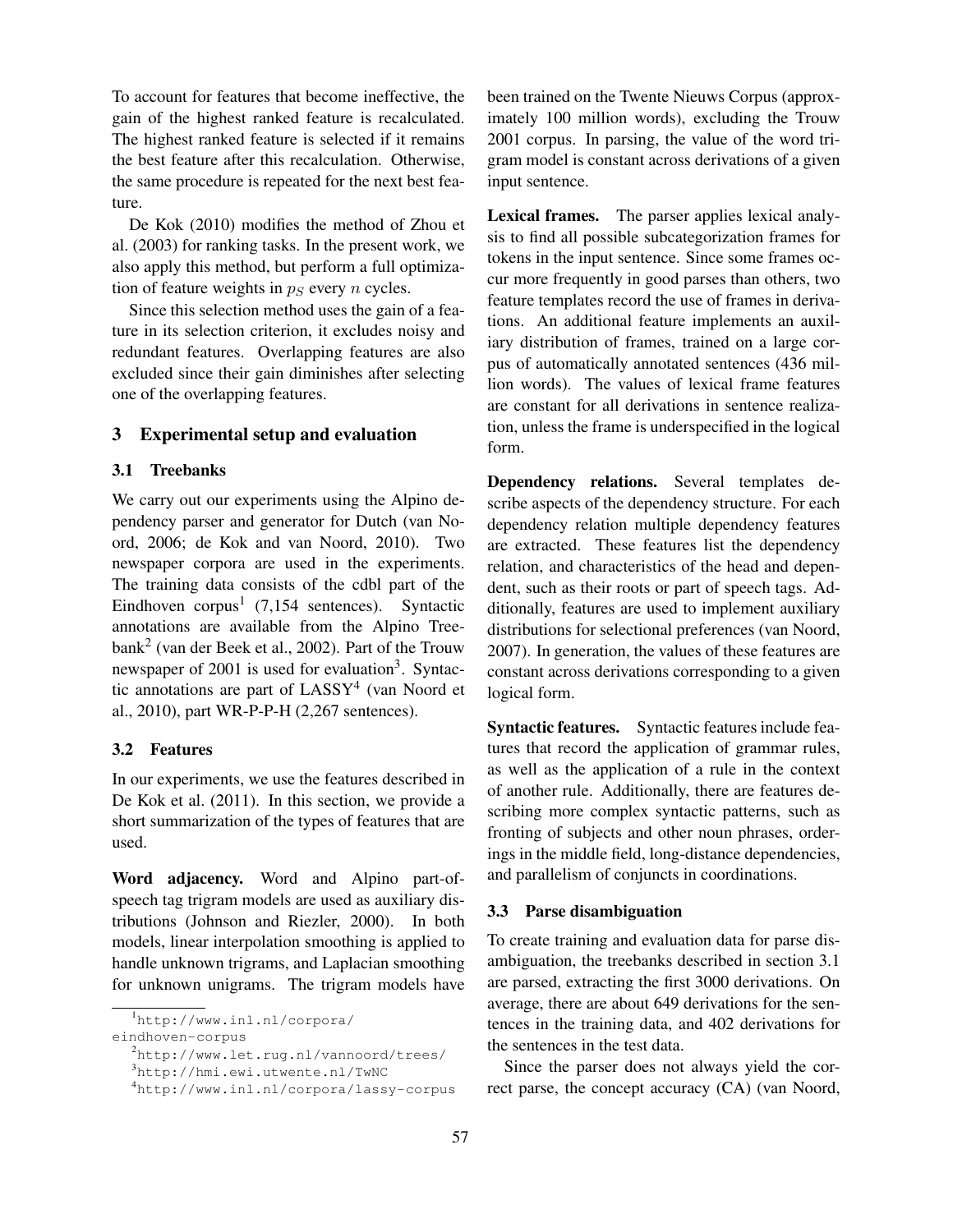To account for features that become ineffective, the gain of the highest ranked feature is recalculated. The highest ranked feature is selected if it remains the best feature after this recalculation. Otherwise, the same procedure is repeated for the next best feature.

De Kok (2010) modifies the method of Zhou et al. (2003) for ranking tasks. In the present work, we also apply this method, but perform a full optimization of feature weights in  $p<sub>S</sub>$  every n cycles.

Since this selection method uses the gain of a feature in its selection criterion, it excludes noisy and redundant features. Overlapping features are also excluded since their gain diminishes after selecting one of the overlapping features.

## 3 Experimental setup and evaluation

### 3.1 Treebanks

We carry out our experiments using the Alpino dependency parser and generator for Dutch (van Noord, 2006; de Kok and van Noord, 2010). Two newspaper corpora are used in the experiments. The training data consists of the cdbl part of the Eindhoven corpus<sup>1</sup> (7,154 sentences). Syntactic annotations are available from the Alpino Treebank<sup>2</sup> (van der Beek et al., 2002). Part of the Trouw newspaper of 2001 is used for evaluation<sup>3</sup>. Syntactic annotations are part of LASSY<sup>4</sup> (van Noord et al., 2010), part WR-P-P-H (2,267 sentences).

#### 3.2 Features

In our experiments, we use the features described in De Kok et al. (2011). In this section, we provide a short summarization of the types of features that are used.

Word adjacency. Word and Alpino part-ofspeech tag trigram models are used as auxiliary distributions (Johnson and Riezler, 2000). In both models, linear interpolation smoothing is applied to handle unknown trigrams, and Laplacian smoothing for unknown unigrams. The trigram models have

been trained on the Twente Nieuws Corpus (approximately 100 million words), excluding the Trouw 2001 corpus. In parsing, the value of the word trigram model is constant across derivations of a given input sentence.

Lexical frames. The parser applies lexical analysis to find all possible subcategorization frames for tokens in the input sentence. Since some frames occur more frequently in good parses than others, two feature templates record the use of frames in derivations. An additional feature implements an auxiliary distribution of frames, trained on a large corpus of automatically annotated sentences (436 million words). The values of lexical frame features are constant for all derivations in sentence realization, unless the frame is underspecified in the logical form.

Dependency relations. Several templates describe aspects of the dependency structure. For each dependency relation multiple dependency features are extracted. These features list the dependency relation, and characteristics of the head and dependent, such as their roots or part of speech tags. Additionally, features are used to implement auxiliary distributions for selectional preferences (van Noord, 2007). In generation, the values of these features are constant across derivations corresponding to a given logical form.

Syntactic features. Syntactic features include features that record the application of grammar rules, as well as the application of a rule in the context of another rule. Additionally, there are features describing more complex syntactic patterns, such as fronting of subjects and other noun phrases, orderings in the middle field, long-distance dependencies, and parallelism of conjuncts in coordinations.

#### 3.3 Parse disambiguation

To create training and evaluation data for parse disambiguation, the treebanks described in section 3.1 are parsed, extracting the first 3000 derivations. On average, there are about 649 derivations for the sentences in the training data, and 402 derivations for the sentences in the test data.

Since the parser does not always yield the correct parse, the concept accuracy (CA) (van Noord,

<sup>1</sup>http://www.inl.nl/corpora/

eindhoven-corpus

<sup>2</sup>http://www.let.rug.nl/vannoord/trees/

<sup>3</sup>http://hmi.ewi.utwente.nl/TwNC

<sup>4</sup>http://www.inl.nl/corpora/lassy-corpus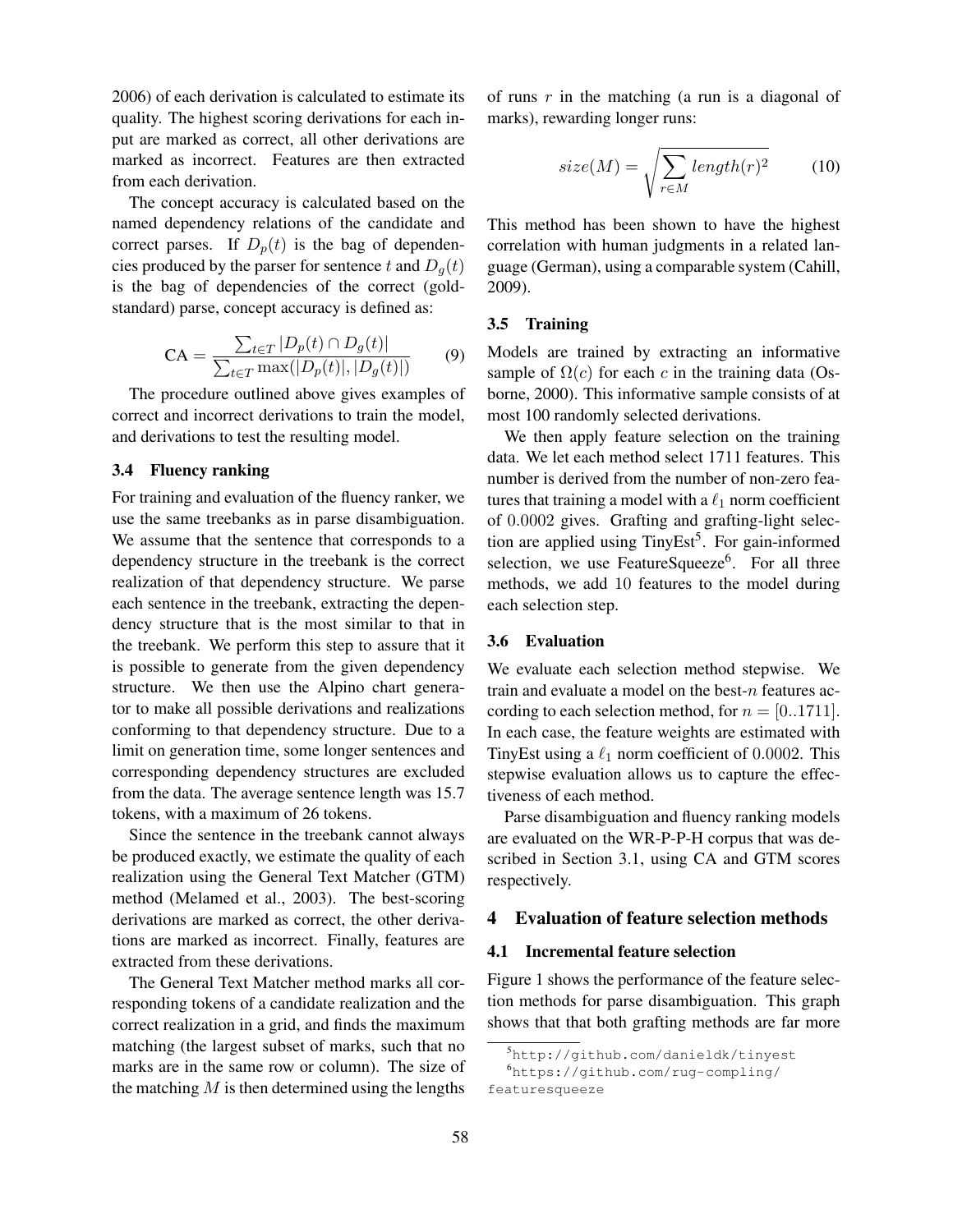2006) of each derivation is calculated to estimate its quality. The highest scoring derivations for each input are marked as correct, all other derivations are marked as incorrect. Features are then extracted from each derivation.

The concept accuracy is calculated based on the named dependency relations of the candidate and correct parses. If  $D_p(t)$  is the bag of dependencies produced by the parser for sentence t and  $D_q(t)$ is the bag of dependencies of the correct (goldstandard) parse, concept accuracy is defined as:

$$
CA = \frac{\sum_{t \in T} |D_p(t) \cap D_g(t)|}{\sum_{t \in T} \max(|D_p(t)|, |D_g(t)|)}
$$
(9)

The procedure outlined above gives examples of correct and incorrect derivations to train the model, and derivations to test the resulting model.

### 3.4 Fluency ranking

For training and evaluation of the fluency ranker, we use the same treebanks as in parse disambiguation. We assume that the sentence that corresponds to a dependency structure in the treebank is the correct realization of that dependency structure. We parse each sentence in the treebank, extracting the dependency structure that is the most similar to that in the treebank. We perform this step to assure that it is possible to generate from the given dependency structure. We then use the Alpino chart generator to make all possible derivations and realizations conforming to that dependency structure. Due to a limit on generation time, some longer sentences and corresponding dependency structures are excluded from the data. The average sentence length was 15.7 tokens, with a maximum of 26 tokens.

Since the sentence in the treebank cannot always be produced exactly, we estimate the quality of each realization using the General Text Matcher (GTM) method (Melamed et al., 2003). The best-scoring derivations are marked as correct, the other derivations are marked as incorrect. Finally, features are extracted from these derivations.

The General Text Matcher method marks all corresponding tokens of a candidate realization and the correct realization in a grid, and finds the maximum matching (the largest subset of marks, such that no marks are in the same row or column). The size of the matching  $M$  is then determined using the lengths of runs  $r$  in the matching (a run is a diagonal of marks), rewarding longer runs:

$$
size(M) = \sqrt{\sum_{r \in M} length(r)^2}
$$
 (10)

This method has been shown to have the highest correlation with human judgments in a related language (German), using a comparable system (Cahill, 2009).

### 3.5 Training

Models are trained by extracting an informative sample of  $\Omega(c)$  for each c in the training data (Osborne, 2000). This informative sample consists of at most 100 randomly selected derivations.

We then apply feature selection on the training data. We let each method select 1711 features. This number is derived from the number of non-zero features that training a model with a  $\ell_1$  norm coefficient of 0.0002 gives. Grafting and grafting-light selection are applied using TinyEst<sup>5</sup>. For gain-informed selection, we use FeatureSqueeze<sup>6</sup>. For all three methods, we add 10 features to the model during each selection step.

#### 3.6 Evaluation

We evaluate each selection method stepwise. We train and evaluate a model on the best- $n$  features according to each selection method, for  $n = [0..1711]$ . In each case, the feature weights are estimated with TinyEst using a  $\ell_1$  norm coefficient of 0.0002. This stepwise evaluation allows us to capture the effectiveness of each method.

Parse disambiguation and fluency ranking models are evaluated on the WR-P-P-H corpus that was described in Section 3.1, using CA and GTM scores respectively.

### 4 Evaluation of feature selection methods

#### 4.1 Incremental feature selection

Figure 1 shows the performance of the feature selection methods for parse disambiguation. This graph shows that that both grafting methods are far more

<sup>5</sup>http://github.com/danieldk/tinyest

<sup>6</sup>https://github.com/rug-compling/ featuresqueeze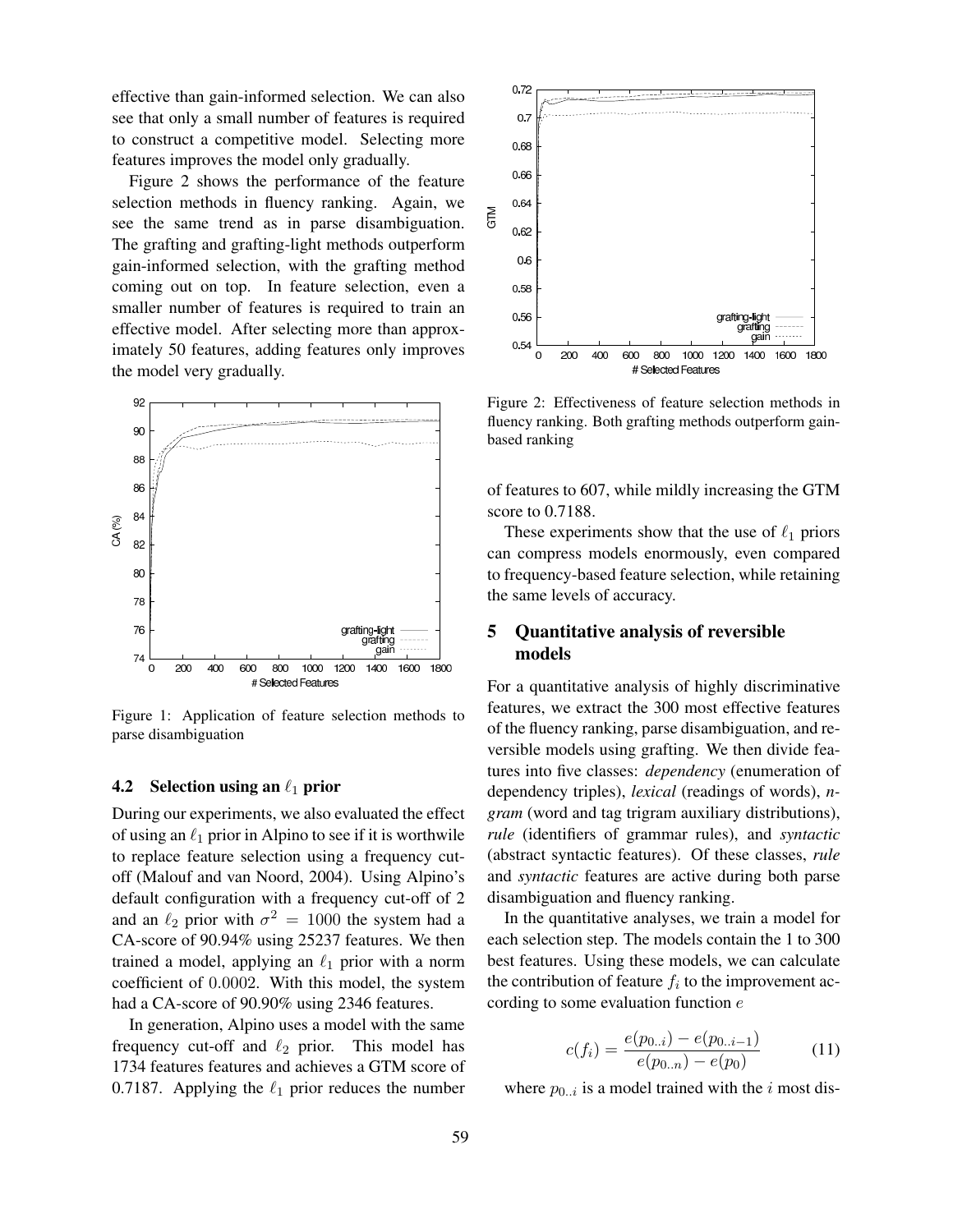effective than gain-informed selection. We can also see that only a small number of features is required to construct a competitive model. Selecting more features improves the model only gradually.

Figure 2 shows the performance of the feature selection methods in fluency ranking. Again, we see the same trend as in parse disambiguation. The grafting and grafting-light methods outperform gain-informed selection, with the grafting method coming out on top. In feature selection, even a smaller number of features is required to train an effective model. After selecting more than approximately 50 features, adding features only improves the model very gradually.



Figure 1: Application of feature selection methods to parse disambiguation

#### **4.2** Selection using an  $\ell_1$  prior

During our experiments, we also evaluated the effect of using an  $\ell_1$  prior in Alpino to see if it is worthwile to replace feature selection using a frequency cutoff (Malouf and van Noord, 2004). Using Alpino's default configuration with a frequency cut-off of 2 and an  $\ell_2$  prior with  $\sigma^2 = 1000$  the system had a CA-score of 90.94% using 25237 features. We then trained a model, applying an  $\ell_1$  prior with a norm coefficient of 0.0002. With this model, the system had a CA-score of 90.90% using 2346 features.

In generation, Alpino uses a model with the same frequency cut-off and  $\ell_2$  prior. This model has 1734 features features and achieves a GTM score of 0.7187. Applying the  $\ell_1$  prior reduces the number



Figure 2: Effectiveness of feature selection methods in fluency ranking. Both grafting methods outperform gainbased ranking

of features to 607, while mildly increasing the GTM score to 0.7188.

These experiments show that the use of  $\ell_1$  priors can compress models enormously, even compared to frequency-based feature selection, while retaining the same levels of accuracy.

## 5 Quantitative analysis of reversible models

For a quantitative analysis of highly discriminative features, we extract the 300 most effective features of the fluency ranking, parse disambiguation, and reversible models using grafting. We then divide features into five classes: *dependency* (enumeration of dependency triples), *lexical* (readings of words), *ngram* (word and tag trigram auxiliary distributions), *rule* (identifiers of grammar rules), and *syntactic* (abstract syntactic features). Of these classes, *rule* and *syntactic* features are active during both parse disambiguation and fluency ranking.

In the quantitative analyses, we train a model for each selection step. The models contain the 1 to 300 best features. Using these models, we can calculate the contribution of feature  $f_i$  to the improvement according to some evaluation function e

$$
c(f_i) = \frac{e(p_{0..i}) - e(p_{0..i-1})}{e(p_{0..n}) - e(p_0)}
$$
(11)

where  $p_{0..i}$  is a model trained with the *i* most dis-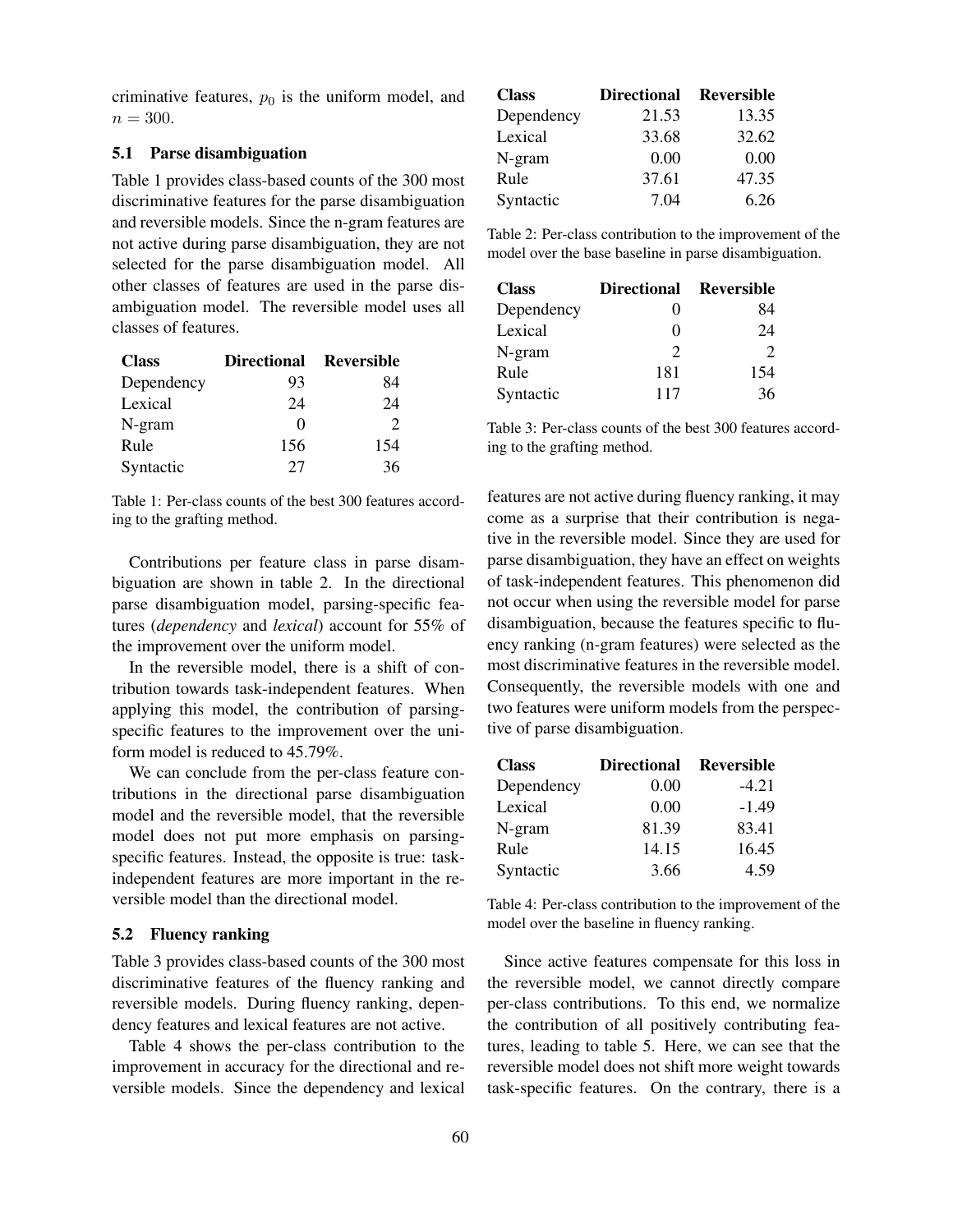criminative features,  $p_0$  is the uniform model, and  $n = 300.$ 

## 5.1 Parse disambiguation

Table 1 provides class-based counts of the 300 most discriminative features for the parse disambiguation and reversible models. Since the n-gram features are not active during parse disambiguation, they are not selected for the parse disambiguation model. All other classes of features are used in the parse disambiguation model. The reversible model uses all classes of features.

| <b>Class</b> | Directional Reversible |               |
|--------------|------------------------|---------------|
| Dependency   | 93                     | 84            |
| Lexical      | 24                     | 24            |
| N-gram       |                        | $\mathcal{D}$ |
| Rule         | 156                    | 154           |
| Syntactic    | 27                     | 36            |

Table 1: Per-class counts of the best 300 features according to the grafting method.

Contributions per feature class in parse disambiguation are shown in table 2. In the directional parse disambiguation model, parsing-specific features (*dependency* and *lexical*) account for 55% of the improvement over the uniform model.

In the reversible model, there is a shift of contribution towards task-independent features. When applying this model, the contribution of parsingspecific features to the improvement over the uniform model is reduced to 45.79%.

We can conclude from the per-class feature contributions in the directional parse disambiguation model and the reversible model, that the reversible model does not put more emphasis on parsingspecific features. Instead, the opposite is true: taskindependent features are more important in the reversible model than the directional model.

#### 5.2 Fluency ranking

Table 3 provides class-based counts of the 300 most discriminative features of the fluency ranking and reversible models. During fluency ranking, dependency features and lexical features are not active.

Table 4 shows the per-class contribution to the improvement in accuracy for the directional and reversible models. Since the dependency and lexical

| <b>Class</b> | Directional Reversible |       |
|--------------|------------------------|-------|
| Dependency   | 21.53                  | 13.35 |
| Lexical      | 33.68                  | 32.62 |
| N-gram       | 0.00                   | 0.00  |
| Rule         | 37.61                  | 47.35 |
| Syntactic    | 7.04                   | 6.26  |

Table 2: Per-class contribution to the improvement of the model over the base baseline in parse disambiguation.

| <b>Class</b> | Directional Reversible |                             |
|--------------|------------------------|-----------------------------|
| Dependency   | 0                      | 84                          |
| Lexical      | 0                      | 24                          |
| N-gram       | $\mathcal{P}$          | $\mathcal{D}_{\mathcal{L}}$ |
| Rule         | 181                    | 154                         |
| Syntactic    | 117                    | 36                          |

Table 3: Per-class counts of the best 300 features according to the grafting method.

features are not active during fluency ranking, it may come as a surprise that their contribution is negative in the reversible model. Since they are used for parse disambiguation, they have an effect on weights of task-independent features. This phenomenon did not occur when using the reversible model for parse disambiguation, because the features specific to fluency ranking (n-gram features) were selected as the most discriminative features in the reversible model. Consequently, the reversible models with one and two features were uniform models from the perspective of parse disambiguation.

| <b>Class</b> | <b>Directional</b> | Reversible |
|--------------|--------------------|------------|
| Dependency   | 0.00               | $-4.21$    |
| Lexical      | 0.00               | $-1.49$    |
| N-gram       | 81.39              | 83.41      |
| Rule         | 14.15              | 16.45      |
| Syntactic    | 3.66               | 4.59       |

Table 4: Per-class contribution to the improvement of the model over the baseline in fluency ranking.

Since active features compensate for this loss in the reversible model, we cannot directly compare per-class contributions. To this end, we normalize the contribution of all positively contributing features, leading to table 5. Here, we can see that the reversible model does not shift more weight towards task-specific features. On the contrary, there is a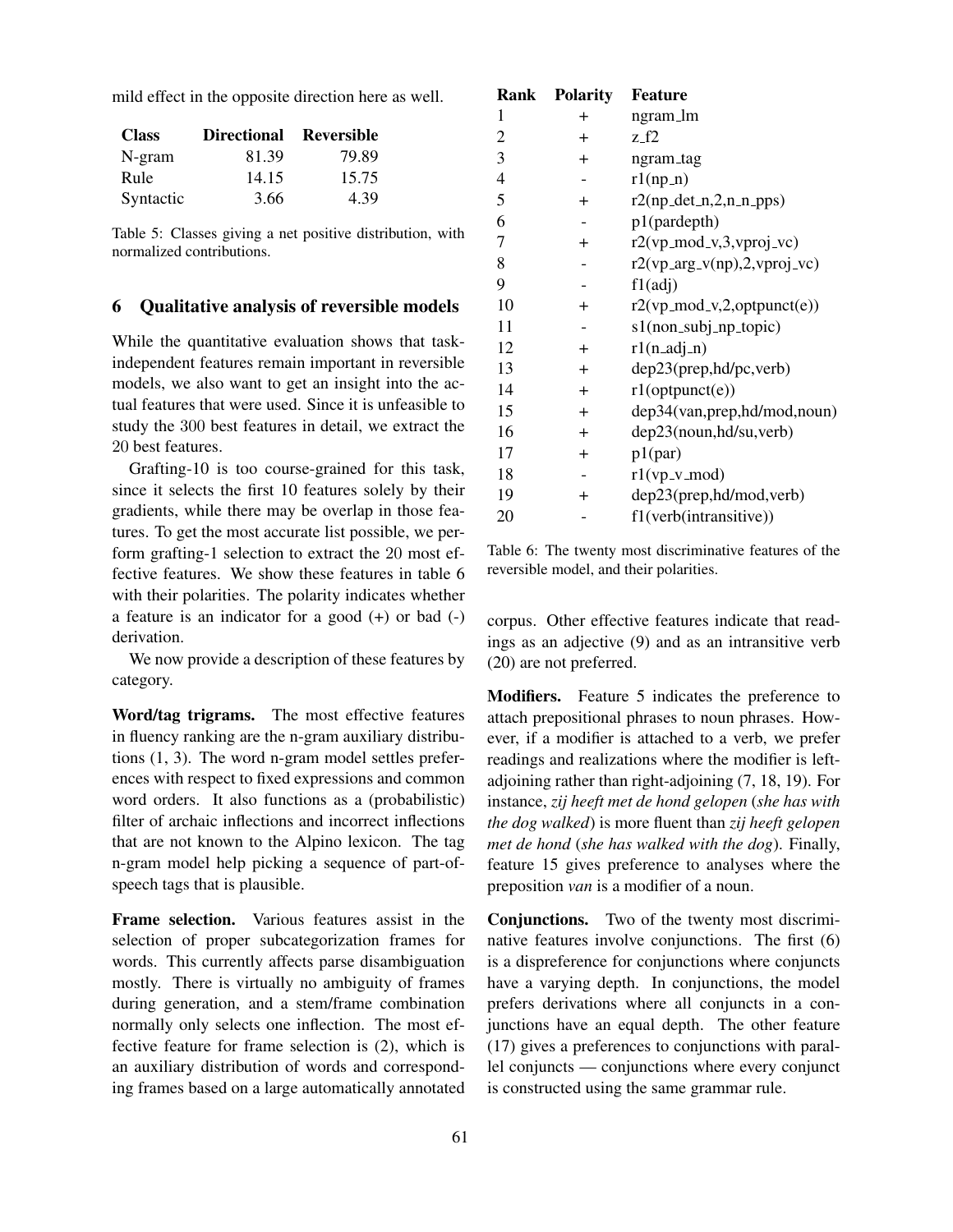mild effect in the opposite direction here as well.

| <b>Class</b> | Directional Reversible |       |
|--------------|------------------------|-------|
| $N-gram$     | 81.39                  | 79.89 |
| Rule         | 14.15                  | 15.75 |
| Syntactic    | 3.66                   | 4.39  |

Table 5: Classes giving a net positive distribution, with normalized contributions.

### 6 Qualitative analysis of reversible models

While the quantitative evaluation shows that taskindependent features remain important in reversible models, we also want to get an insight into the actual features that were used. Since it is unfeasible to study the 300 best features in detail, we extract the 20 best features.

Grafting-10 is too course-grained for this task, since it selects the first 10 features solely by their gradients, while there may be overlap in those features. To get the most accurate list possible, we perform grafting-1 selection to extract the 20 most effective features. We show these features in table 6 with their polarities. The polarity indicates whether a feature is an indicator for a good (+) or bad (-) derivation.

We now provide a description of these features by category.

Word/tag trigrams. The most effective features in fluency ranking are the n-gram auxiliary distributions (1, 3). The word n-gram model settles preferences with respect to fixed expressions and common word orders. It also functions as a (probabilistic) filter of archaic inflections and incorrect inflections that are not known to the Alpino lexicon. The tag n-gram model help picking a sequence of part-ofspeech tags that is plausible.

Frame selection. Various features assist in the selection of proper subcategorization frames for words. This currently affects parse disambiguation mostly. There is virtually no ambiguity of frames during generation, and a stem/frame combination normally only selects one inflection. The most effective feature for frame selection is (2), which is an auxiliary distribution of words and corresponding frames based on a large automatically annotated

| Rank           | <b>Polarity</b> | <b>Feature</b>                   |
|----------------|-----------------|----------------------------------|
| 1              | $\pm$           | ngram_lm                         |
| $\overline{2}$ | $\overline{+}$  | z_f2                             |
| 3              | $\overline{+}$  | ngram_tag                        |
| $\overline{4}$ |                 | $r1(np_n)$                       |
| 5              | $\overline{+}$  | $r2(np\_det_n, 2, n_n-pps)$      |
| 6              |                 | p1(pardepth)                     |
| 7              | $^{+}$          | $r2(vp_{mod-v,3,vproj_vc})$      |
| 8              |                 | $r2(vp_arg_v(np), 2, vproj_v(c)$ |
| 9              |                 | f1(adj)                          |
| 10             | $\pm$           | $r2(vp_{mod_v}, 2, optpunct(e))$ |
| 11             |                 | s1(non_subj_np_topic)            |
| 12             | $\ddot{}$       | $r1(n$ <sub>-adj-n</sub> $)$     |
| 13             | $\ddot{}$       | dep23(prep,hd/pc,verb)           |
| 14             | $\ddot{}$       | $r1$ (optpunct(e))               |
| 15             | $\ddot{}$       | dep34(van,prep,hd/mod,noun)      |
| 16             | $\overline{+}$  | dep23(noun,hd/su,verb)           |
| 17             | $\overline{+}$  | p1(par)                          |
| 18             |                 | $r1(vp_v_{mod})$                 |
| 19             | $^{+}$          | dep23(prep,hd/mod,verb)          |
| 20             |                 | f1(verb(intransitive))           |
|                |                 |                                  |

Table 6: The twenty most discriminative features of the reversible model, and their polarities.

corpus. Other effective features indicate that readings as an adjective (9) and as an intransitive verb (20) are not preferred.

Modifiers. Feature 5 indicates the preference to attach prepositional phrases to noun phrases. However, if a modifier is attached to a verb, we prefer readings and realizations where the modifier is leftadjoining rather than right-adjoining (7, 18, 19). For instance, *zij heeft met de hond gelopen* (*she has with the dog walked*) is more fluent than *zij heeft gelopen met de hond* (*she has walked with the dog*). Finally, feature 15 gives preference to analyses where the preposition *van* is a modifier of a noun.

Conjunctions. Two of the twenty most discriminative features involve conjunctions. The first (6) is a dispreference for conjunctions where conjuncts have a varying depth. In conjunctions, the model prefers derivations where all conjuncts in a conjunctions have an equal depth. The other feature (17) gives a preferences to conjunctions with parallel conjuncts — conjunctions where every conjunct is constructed using the same grammar rule.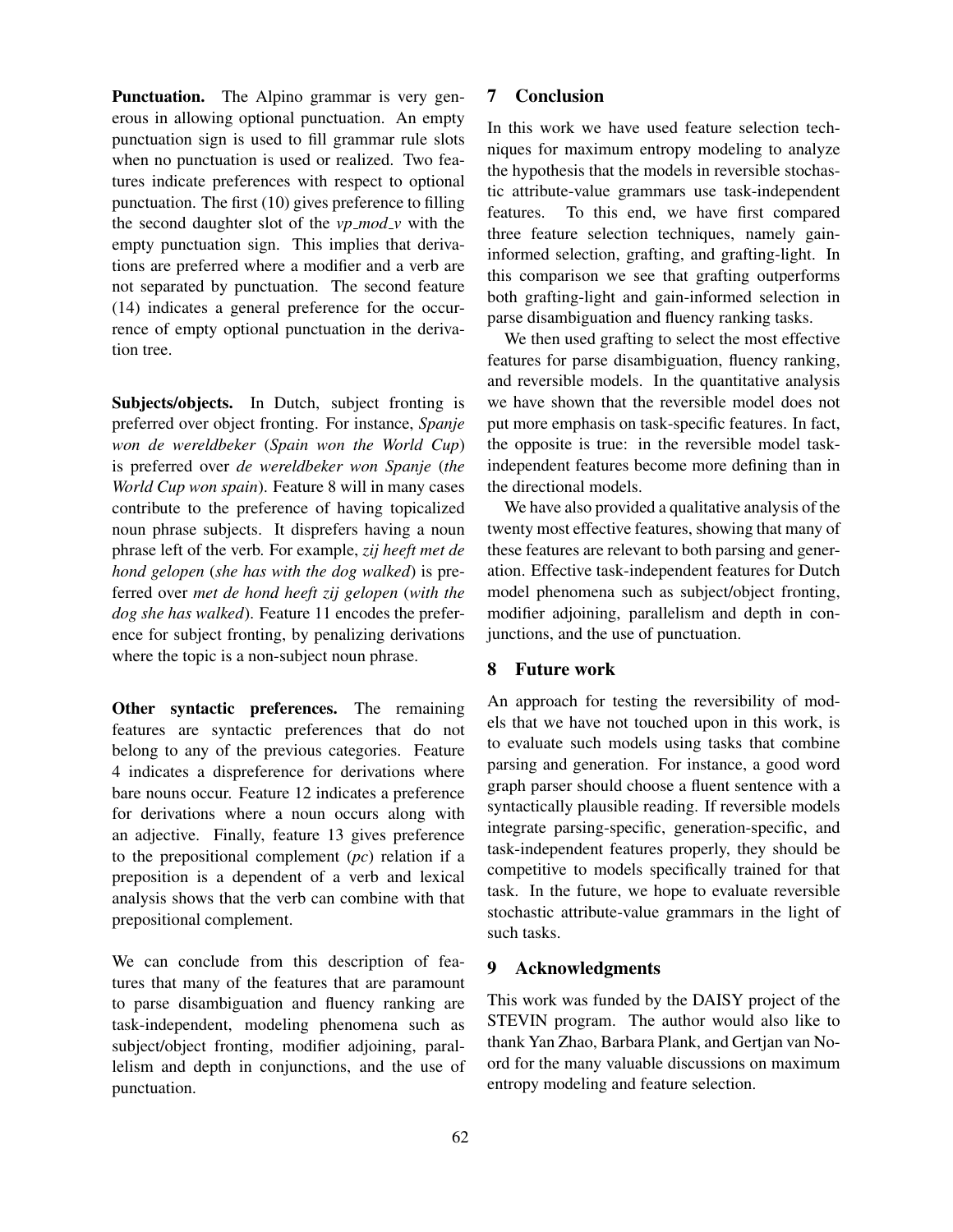Punctuation. The Alpino grammar is very generous in allowing optional punctuation. An empty punctuation sign is used to fill grammar rule slots when no punctuation is used or realized. Two features indicate preferences with respect to optional punctuation. The first (10) gives preference to filling the second daughter slot of the *vp mod v* with the empty punctuation sign. This implies that derivations are preferred where a modifier and a verb are not separated by punctuation. The second feature (14) indicates a general preference for the occurrence of empty optional punctuation in the derivation tree.

Subjects/objects. In Dutch, subject fronting is preferred over object fronting. For instance, *Spanje won de wereldbeker* (*Spain won the World Cup*) is preferred over *de wereldbeker won Spanje* (*the World Cup won spain*). Feature 8 will in many cases contribute to the preference of having topicalized noun phrase subjects. It disprefers having a noun phrase left of the verb. For example, *zij heeft met de hond gelopen* (*she has with the dog walked*) is preferred over *met de hond heeft zij gelopen* (*with the dog she has walked*). Feature 11 encodes the preference for subject fronting, by penalizing derivations where the topic is a non-subject noun phrase.

Other syntactic preferences. The remaining features are syntactic preferences that do not belong to any of the previous categories. Feature 4 indicates a dispreference for derivations where bare nouns occur. Feature 12 indicates a preference for derivations where a noun occurs along with an adjective. Finally, feature 13 gives preference to the prepositional complement (*pc*) relation if a preposition is a dependent of a verb and lexical analysis shows that the verb can combine with that prepositional complement.

We can conclude from this description of features that many of the features that are paramount to parse disambiguation and fluency ranking are task-independent, modeling phenomena such as subject/object fronting, modifier adjoining, parallelism and depth in conjunctions, and the use of punctuation.

### 7 Conclusion

In this work we have used feature selection techniques for maximum entropy modeling to analyze the hypothesis that the models in reversible stochastic attribute-value grammars use task-independent features. To this end, we have first compared three feature selection techniques, namely gaininformed selection, grafting, and grafting-light. In this comparison we see that grafting outperforms both grafting-light and gain-informed selection in parse disambiguation and fluency ranking tasks.

We then used grafting to select the most effective features for parse disambiguation, fluency ranking, and reversible models. In the quantitative analysis we have shown that the reversible model does not put more emphasis on task-specific features. In fact, the opposite is true: in the reversible model taskindependent features become more defining than in the directional models.

We have also provided a qualitative analysis of the twenty most effective features, showing that many of these features are relevant to both parsing and generation. Effective task-independent features for Dutch model phenomena such as subject/object fronting, modifier adjoining, parallelism and depth in conjunctions, and the use of punctuation.

#### 8 Future work

An approach for testing the reversibility of models that we have not touched upon in this work, is to evaluate such models using tasks that combine parsing and generation. For instance, a good word graph parser should choose a fluent sentence with a syntactically plausible reading. If reversible models integrate parsing-specific, generation-specific, and task-independent features properly, they should be competitive to models specifically trained for that task. In the future, we hope to evaluate reversible stochastic attribute-value grammars in the light of such tasks.

### 9 Acknowledgments

This work was funded by the DAISY project of the STEVIN program. The author would also like to thank Yan Zhao, Barbara Plank, and Gertjan van Noord for the many valuable discussions on maximum entropy modeling and feature selection.